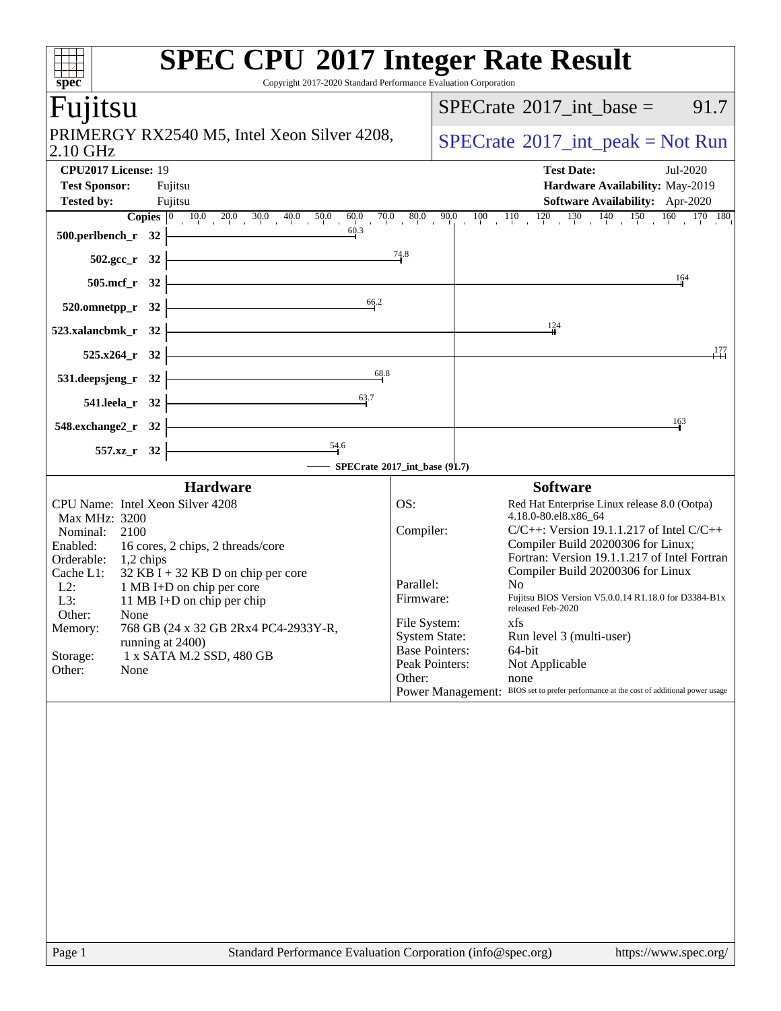| spec                                                                                                                                                           | <b>SPEC CPU®2017 Integer Rate Result</b><br>Copyright 2017-2020 Standard Performance Evaluation Corporation                                                                                                                                                      |                                                                                                                                         |                                                                                                                                                                                                                                                                                                                                                                                                            |
|----------------------------------------------------------------------------------------------------------------------------------------------------------------|------------------------------------------------------------------------------------------------------------------------------------------------------------------------------------------------------------------------------------------------------------------|-----------------------------------------------------------------------------------------------------------------------------------------|------------------------------------------------------------------------------------------------------------------------------------------------------------------------------------------------------------------------------------------------------------------------------------------------------------------------------------------------------------------------------------------------------------|
| Fujitsu                                                                                                                                                        |                                                                                                                                                                                                                                                                  |                                                                                                                                         | $SPECrate^{\circ}2017\_int\_base =$<br>91.7                                                                                                                                                                                                                                                                                                                                                                |
| 2.10 GHz                                                                                                                                                       | PRIMERGY RX2540 M5, Intel Xeon Silver 4208,                                                                                                                                                                                                                      |                                                                                                                                         | $SPECrate^{\circledcirc}2017\_int\_peak = Not Run$                                                                                                                                                                                                                                                                                                                                                         |
| CPU2017 License: 19<br><b>Test Sponsor:</b><br><b>Tested by:</b>                                                                                               | Fujitsu<br>Fujitsu                                                                                                                                                                                                                                               |                                                                                                                                         | <b>Test Date:</b><br>Jul-2020<br>Hardware Availability: May-2019<br><b>Software Availability:</b> Apr-2020                                                                                                                                                                                                                                                                                                 |
| 500.perlbench_r 32                                                                                                                                             |                                                                                                                                                                                                                                                                  |                                                                                                                                         | <b>Copies</b> $\begin{bmatrix} 0 & 10.0 & 20.0 & 30.0 & 40.0 & 50.0 & 60.0 & 70.0 & 80.0 & 90.0 & 100 & 110 & 120 & 130 & 140 & 150 & 160 & 170 & 180 \ 1 & 3 & 3 & 6 & 3 & 1 & 60 & 3 \end{bmatrix}$                                                                                                                                                                                                      |
| $502.\text{sec}_r$ 32<br>505.mcf_r 32                                                                                                                          |                                                                                                                                                                                                                                                                  | 74.8                                                                                                                                    | 164                                                                                                                                                                                                                                                                                                                                                                                                        |
| $520.0$ mnetpp_r $32$                                                                                                                                          | 66.2                                                                                                                                                                                                                                                             |                                                                                                                                         |                                                                                                                                                                                                                                                                                                                                                                                                            |
| 523.xalancbmk_r 32                                                                                                                                             |                                                                                                                                                                                                                                                                  |                                                                                                                                         | 124<br>,177                                                                                                                                                                                                                                                                                                                                                                                                |
| 525.x264_r 32<br>$531. \text{deepsjeng}_r$ 32                                                                                                                  | 68.8                                                                                                                                                                                                                                                             |                                                                                                                                         |                                                                                                                                                                                                                                                                                                                                                                                                            |
| 541.leela_r 32<br>$548$ .exchange $2\,\text{r}$ 32                                                                                                             | 63.7                                                                                                                                                                                                                                                             |                                                                                                                                         | 163                                                                                                                                                                                                                                                                                                                                                                                                        |
| 557.xz_r 32                                                                                                                                                    | $-$ SPECrate®2017_int_base (91.7)                                                                                                                                                                                                                                |                                                                                                                                         |                                                                                                                                                                                                                                                                                                                                                                                                            |
|                                                                                                                                                                | <b>Hardware</b>                                                                                                                                                                                                                                                  |                                                                                                                                         | <b>Software</b>                                                                                                                                                                                                                                                                                                                                                                                            |
| Max MHz: 3200<br>Nominal: 2100<br>Enabled:<br>Orderable:<br>1,2 chips<br>Cache L1:<br>$L2$ :<br>L3:<br>Other:<br>None<br>Memory:<br>Storage:<br>Other:<br>None | CPU Name: Intel Xeon Silver 4208<br>16 cores, 2 chips, 2 threads/core<br>$32$ KB I + 32 KB D on chip per core<br>1 MB I+D on chip per core<br>11 MB I+D on chip per chip<br>768 GB (24 x 32 GB 2Rx4 PC4-2933Y-R,<br>running at 2400)<br>1 x SATA M.2 SSD, 480 GB | OS:<br>Compiler:<br>Parallel:<br>Firmware:<br>File System:<br><b>System State:</b><br><b>Base Pointers:</b><br>Peak Pointers:<br>Other: | Red Hat Enterprise Linux release 8.0 (Ootpa)<br>4.18.0-80.el8.x86 64<br>$C/C++$ : Version 19.1.1.217 of Intel $C/C++$<br>Compiler Build 20200306 for Linux;<br>Fortran: Version 19.1.1.217 of Intel Fortran<br>Compiler Build 20200306 for Linux<br>No<br>Fujitsu BIOS Version V5.0.0.14 R1.18.0 for D3384-B1x<br>released Feb-2020<br>xfs<br>Run level 3 (multi-user)<br>64-bit<br>Not Applicable<br>none |
|                                                                                                                                                                |                                                                                                                                                                                                                                                                  |                                                                                                                                         | Power Management: BIOS set to prefer performance at the cost of additional power usage                                                                                                                                                                                                                                                                                                                     |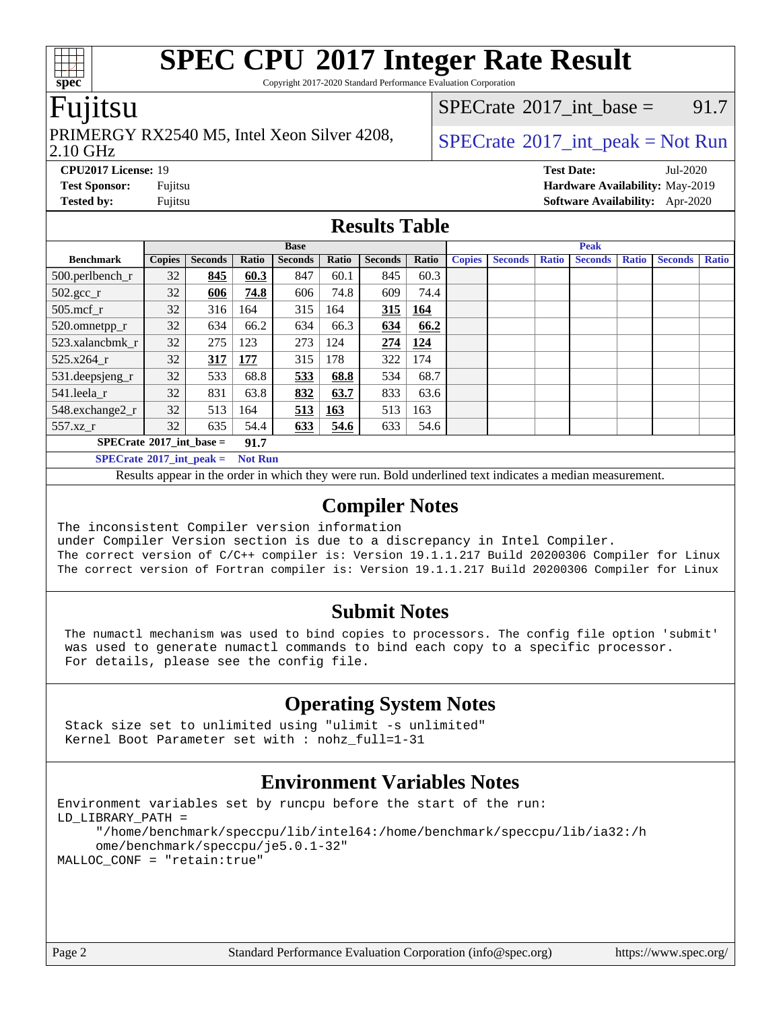Copyright 2017-2020 Standard Performance Evaluation Corporation

### Fujitsu

### 2.10 GHz PRIMERGY RX2540 M5, Intel Xeon Silver 4208,  $\big|$  [SPECrate](http://www.spec.org/auto/cpu2017/Docs/result-fields.html#SPECrate2017intpeak) <sup>®</sup>[2017\\_int\\_peak = N](http://www.spec.org/auto/cpu2017/Docs/result-fields.html#SPECrate2017intpeak)ot Run

[SPECrate](http://www.spec.org/auto/cpu2017/Docs/result-fields.html#SPECrate2017intbase)<sup>®</sup>2017 int base = 91.7

**[spec](http://www.spec.org/)**

**[Tested by:](http://www.spec.org/auto/cpu2017/Docs/result-fields.html#Testedby)** Fujitsu **[Software Availability:](http://www.spec.org/auto/cpu2017/Docs/result-fields.html#SoftwareAvailability)** Apr-2020

**[CPU2017 License:](http://www.spec.org/auto/cpu2017/Docs/result-fields.html#CPU2017License)** 19 **[Test Date:](http://www.spec.org/auto/cpu2017/Docs/result-fields.html#TestDate)** Jul-2020 **[Test Sponsor:](http://www.spec.org/auto/cpu2017/Docs/result-fields.html#TestSponsor)** Fujitsu **[Hardware Availability:](http://www.spec.org/auto/cpu2017/Docs/result-fields.html#HardwareAvailability)** May-2019

### **[Results Table](http://www.spec.org/auto/cpu2017/Docs/result-fields.html#ResultsTable)**

|                                                       | <b>Base</b>   |                |            |                |       | <b>Peak</b>    |            |               |                |              |                |              |                |              |
|-------------------------------------------------------|---------------|----------------|------------|----------------|-------|----------------|------------|---------------|----------------|--------------|----------------|--------------|----------------|--------------|
| <b>Benchmark</b>                                      | <b>Copies</b> | <b>Seconds</b> | Ratio      | <b>Seconds</b> | Ratio | <b>Seconds</b> | Ratio      | <b>Copies</b> | <b>Seconds</b> | <b>Ratio</b> | <b>Seconds</b> | <b>Ratio</b> | <b>Seconds</b> | <b>Ratio</b> |
| $500.$ perlbench_r                                    | 32            | 845            | 60.3       | 847            | 60.1  | 845            | 60.3       |               |                |              |                |              |                |              |
| $502.\text{sec}$                                      | 32            | 606            | 74.8       | 606            | 74.8  | 609            | 74.4       |               |                |              |                |              |                |              |
| $505$ .mcf r                                          | 32            | 316            | 164        | 315            | 164   | 315            | <u>164</u> |               |                |              |                |              |                |              |
| 520.omnetpp_r                                         | 32            | 634            | 66.2       | 634            | 66.3  | 634            | 66.2       |               |                |              |                |              |                |              |
| 523.xalancbmk r                                       | 32            | 275            | 123        | 273            | 124   | 274            | 124        |               |                |              |                |              |                |              |
| $525.x264$ r                                          | 32            | 317            | <b>177</b> | 315            | 178   | 322            | 174        |               |                |              |                |              |                |              |
| $531.$ deepsjeng $_r$                                 | 32            | 533            | 68.8       | 533            | 68.8  | 534            | 68.7       |               |                |              |                |              |                |              |
| 541.leela r                                           | 32            | 831            | 63.8       | 832            | 63.7  | 833            | 63.6       |               |                |              |                |              |                |              |
| 548.exchange2_r                                       | 32            | 513            | 164        | 513            | 163   | 513            | 163        |               |                |              |                |              |                |              |
| 557.xz r                                              | 32            | 635            | 54.4       | 633            | 54.6  | 633            | 54.6       |               |                |              |                |              |                |              |
| $SPECrate^{\circ}2017$ int base =<br>91.7             |               |                |            |                |       |                |            |               |                |              |                |              |                |              |
| $SPECrate^{\circ}2017\_int\_peak =$<br><b>Not Run</b> |               |                |            |                |       |                |            |               |                |              |                |              |                |              |

Results appear in the [order in which they were run.](http://www.spec.org/auto/cpu2017/Docs/result-fields.html#RunOrder) Bold underlined text [indicates a median measurement.](http://www.spec.org/auto/cpu2017/Docs/result-fields.html#Median)

### **[Compiler Notes](http://www.spec.org/auto/cpu2017/Docs/result-fields.html#CompilerNotes)**

The inconsistent Compiler version information under Compiler Version section is due to a discrepancy in Intel Compiler. The correct version of C/C++ compiler is: Version 19.1.1.217 Build 20200306 Compiler for Linux The correct version of Fortran compiler is: Version 19.1.1.217 Build 20200306 Compiler for Linux

### **[Submit Notes](http://www.spec.org/auto/cpu2017/Docs/result-fields.html#SubmitNotes)**

 The numactl mechanism was used to bind copies to processors. The config file option 'submit' was used to generate numactl commands to bind each copy to a specific processor. For details, please see the config file.

### **[Operating System Notes](http://www.spec.org/auto/cpu2017/Docs/result-fields.html#OperatingSystemNotes)**

 Stack size set to unlimited using "ulimit -s unlimited" Kernel Boot Parameter set with : nohz\_full=1-31

### **[Environment Variables Notes](http://www.spec.org/auto/cpu2017/Docs/result-fields.html#EnvironmentVariablesNotes)**

```
Environment variables set by runcpu before the start of the run:
LD_LIBRARY_PATH =
      "/home/benchmark/speccpu/lib/intel64:/home/benchmark/speccpu/lib/ia32:/h
      ome/benchmark/speccpu/je5.0.1-32"
MALLOC_CONF = "retain:true"
```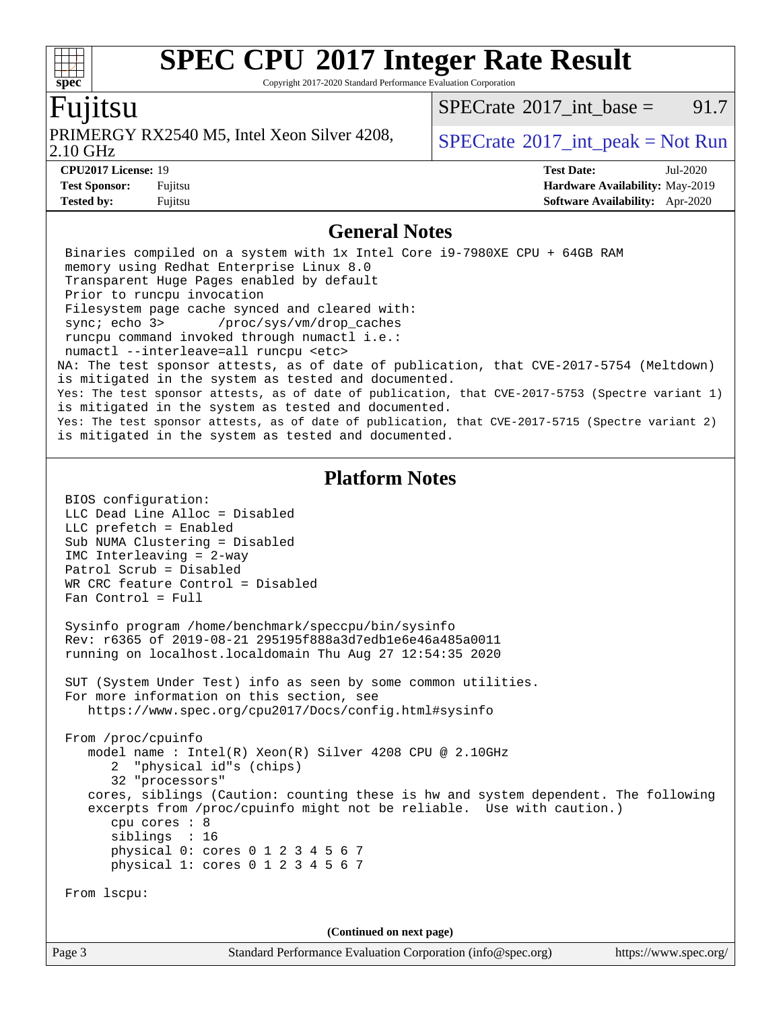Copyright 2017-2020 Standard Performance Evaluation Corporation

### Fujitsu

PRIMERGY RX2540 M5, Intel Xeon Silver 4208,  $\big|$  [SPECrate](http://www.spec.org/auto/cpu2017/Docs/result-fields.html#SPECrate2017intpeak) <sup>®</sup>[2017\\_int\\_peak = N](http://www.spec.org/auto/cpu2017/Docs/result-fields.html#SPECrate2017intpeak)ot Run

[SPECrate](http://www.spec.org/auto/cpu2017/Docs/result-fields.html#SPECrate2017intbase)<sup>®</sup>2017 int base = 91.7

2.10 GHz

**[spec](http://www.spec.org/)**

 $+\ +$ 

**[Tested by:](http://www.spec.org/auto/cpu2017/Docs/result-fields.html#Testedby)** Fujitsu **[Software Availability:](http://www.spec.org/auto/cpu2017/Docs/result-fields.html#SoftwareAvailability)** Apr-2020

**[CPU2017 License:](http://www.spec.org/auto/cpu2017/Docs/result-fields.html#CPU2017License)** 19 **[Test Date:](http://www.spec.org/auto/cpu2017/Docs/result-fields.html#TestDate)** Jul-2020 **[Test Sponsor:](http://www.spec.org/auto/cpu2017/Docs/result-fields.html#TestSponsor)** Fujitsu **[Hardware Availability:](http://www.spec.org/auto/cpu2017/Docs/result-fields.html#HardwareAvailability)** May-2019

### **[General Notes](http://www.spec.org/auto/cpu2017/Docs/result-fields.html#GeneralNotes)**

 Binaries compiled on a system with 1x Intel Core i9-7980XE CPU + 64GB RAM memory using Redhat Enterprise Linux 8.0 Transparent Huge Pages enabled by default Prior to runcpu invocation Filesystem page cache synced and cleared with: sync; echo 3> /proc/sys/vm/drop\_caches runcpu command invoked through numactl i.e.: numactl --interleave=all runcpu <etc> NA: The test sponsor attests, as of date of publication, that CVE-2017-5754 (Meltdown) is mitigated in the system as tested and documented. Yes: The test sponsor attests, as of date of publication, that CVE-2017-5753 (Spectre variant 1) is mitigated in the system as tested and documented. Yes: The test sponsor attests, as of date of publication, that CVE-2017-5715 (Spectre variant 2) is mitigated in the system as tested and documented. **[Platform Notes](http://www.spec.org/auto/cpu2017/Docs/result-fields.html#PlatformNotes)** BIOS configuration: LLC Dead Line Alloc = Disabled LLC prefetch = Enabled Sub NUMA Clustering = Disabled IMC Interleaving = 2-way Patrol Scrub = Disabled WR CRC feature Control = Disabled Fan Control = Full Sysinfo program /home/benchmark/speccpu/bin/sysinfo Rev: r6365 of 2019-08-21 295195f888a3d7edb1e6e46a485a0011 running on localhost.localdomain Thu Aug 27 12:54:35 2020 SUT (System Under Test) info as seen by some common utilities. For more information on this section, see <https://www.spec.org/cpu2017/Docs/config.html#sysinfo> From /proc/cpuinfo model name : Intel(R) Xeon(R) Silver 4208 CPU @ 2.10GHz 2 "physical id"s (chips) 32 "processors" cores, siblings (Caution: counting these is hw and system dependent. The following excerpts from /proc/cpuinfo might not be reliable. Use with caution.) cpu cores : 8 siblings : 16 physical 0: cores 0 1 2 3 4 5 6 7 physical 1: cores 0 1 2 3 4 5 6 7 From lscpu: **(Continued on next page)**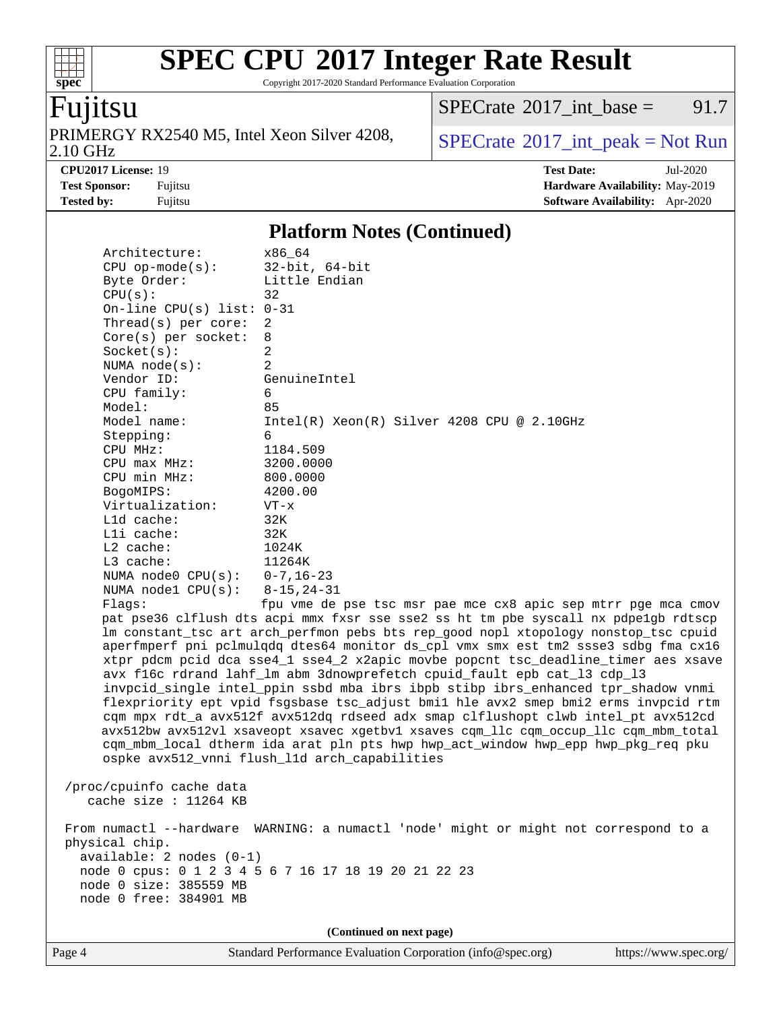Copyright 2017-2020 Standard Performance Evaluation Corporation

## Fujitsu

**[spec](http://www.spec.org/)**

 $+\!\!+\!\!$ 

2.10 GHz PRIMERGY RX2540 M5, Intel Xeon Silver 4208,  $\big|$  [SPECrate](http://www.spec.org/auto/cpu2017/Docs/result-fields.html#SPECrate2017intpeak) <sup>®</sup>[2017\\_int\\_peak = N](http://www.spec.org/auto/cpu2017/Docs/result-fields.html#SPECrate2017intpeak)ot Run

 $SPECTate$ <sup>®</sup>[2017\\_int\\_base =](http://www.spec.org/auto/cpu2017/Docs/result-fields.html#SPECrate2017intbase) 91.7

**[CPU2017 License:](http://www.spec.org/auto/cpu2017/Docs/result-fields.html#CPU2017License)** 19 **[Test Date:](http://www.spec.org/auto/cpu2017/Docs/result-fields.html#TestDate)** Jul-2020 **[Test Sponsor:](http://www.spec.org/auto/cpu2017/Docs/result-fields.html#TestSponsor)** Fujitsu **[Hardware Availability:](http://www.spec.org/auto/cpu2017/Docs/result-fields.html#HardwareAvailability)** May-2019 **[Tested by:](http://www.spec.org/auto/cpu2017/Docs/result-fields.html#Testedby)** Fujitsu **[Software Availability:](http://www.spec.org/auto/cpu2017/Docs/result-fields.html#SoftwareAvailability)** Apr-2020

### **[Platform Notes \(Continued\)](http://www.spec.org/auto/cpu2017/Docs/result-fields.html#PlatformNotes)**

| Architecture:                                        | x86 64                                                                               |  |  |  |  |
|------------------------------------------------------|--------------------------------------------------------------------------------------|--|--|--|--|
| $CPU$ op-mode( $s$ ):<br>Byte Order:                 | $32$ -bit, $64$ -bit<br>Little Endian                                                |  |  |  |  |
| CPU(s):                                              | 32                                                                                   |  |  |  |  |
| On-line CPU(s) list: $0-31$                          |                                                                                      |  |  |  |  |
| Thread( $s$ ) per core:                              | 2                                                                                    |  |  |  |  |
| $Core(s)$ per socket:                                | 8                                                                                    |  |  |  |  |
| Socket(s):                                           | $\overline{2}$                                                                       |  |  |  |  |
| NUMA $node(s):$                                      | $\overline{2}$                                                                       |  |  |  |  |
| Vendor ID:                                           | GenuineIntel                                                                         |  |  |  |  |
| CPU family:                                          | 6                                                                                    |  |  |  |  |
| Model:                                               | 85                                                                                   |  |  |  |  |
| Model name:                                          | $Intel(R) Xeon(R) Silver 4208 CPU @ 2.10GHz$                                         |  |  |  |  |
| Stepping:                                            | 6                                                                                    |  |  |  |  |
| CPU MHz:                                             | 1184.509                                                                             |  |  |  |  |
| CPU max MHz:                                         | 3200.0000                                                                            |  |  |  |  |
| CPU min MHz:                                         | 800.0000                                                                             |  |  |  |  |
| BogoMIPS:                                            | 4200.00                                                                              |  |  |  |  |
| Virtualization:                                      | $VT - x$                                                                             |  |  |  |  |
| L1d cache:                                           | 32K                                                                                  |  |  |  |  |
| Lli cache:                                           | 32K                                                                                  |  |  |  |  |
| $L2$ cache:<br>L3 cache:                             | 1024K<br>11264K                                                                      |  |  |  |  |
| NUMA node0 $CPU(s): 0-7, 16-23$                      |                                                                                      |  |  |  |  |
| NUMA $node1$ $CPU(s):$                               | $8 - 15, 24 - 31$                                                                    |  |  |  |  |
| Flags:                                               | fpu vme de pse tsc msr pae mce cx8 apic sep mtrr pge mca cmov                        |  |  |  |  |
|                                                      | pat pse36 clflush dts acpi mmx fxsr sse sse2 ss ht tm pbe syscall nx pdpelgb rdtscp  |  |  |  |  |
|                                                      | lm constant_tsc art arch_perfmon pebs bts rep_good nopl xtopology nonstop_tsc cpuid  |  |  |  |  |
|                                                      | aperfmperf pni pclmulqdq dtes64 monitor ds_cpl vmx smx est tm2 ssse3 sdbg fma cx16   |  |  |  |  |
|                                                      | xtpr pdcm pcid dca sse4_1 sse4_2 x2apic movbe popcnt tsc_deadline_timer aes xsave    |  |  |  |  |
|                                                      | avx f16c rdrand lahf_lm abm 3dnowprefetch cpuid_fault epb cat_13 cdp_13              |  |  |  |  |
|                                                      | invpcid_single intel_ppin ssbd mba ibrs ibpb stibp ibrs_enhanced tpr_shadow vnmi     |  |  |  |  |
|                                                      | flexpriority ept vpid fsgsbase tsc_adjust bmil hle avx2 smep bmi2 erms invpcid rtm   |  |  |  |  |
|                                                      | cqm mpx rdt_a avx512f avx512dq rdseed adx smap clflushopt clwb intel_pt avx512cd     |  |  |  |  |
|                                                      | avx512bw avx512vl xsaveopt xsavec xgetbvl xsaves cqm_llc cqm_occup_llc cqm_mbm_total |  |  |  |  |
|                                                      | cqm_mbm_local dtherm ida arat pln pts hwp hwp_act_window hwp_epp hwp_pkg_req pku     |  |  |  |  |
|                                                      | ospke avx512_vnni flush_l1d arch_capabilities                                        |  |  |  |  |
|                                                      |                                                                                      |  |  |  |  |
| /proc/cpuinfo cache data                             |                                                                                      |  |  |  |  |
| cache size : $11264$ KB                              |                                                                                      |  |  |  |  |
|                                                      | From numactl --hardware WARNING: a numactl 'node' might or might not correspond to a |  |  |  |  |
| physical chip.                                       |                                                                                      |  |  |  |  |
| available: 2 nodes (0-1)                             |                                                                                      |  |  |  |  |
| node 0 cpus: 0 1 2 3 4 5 6 7 16 17 18 19 20 21 22 23 |                                                                                      |  |  |  |  |
| node 0 size: 385559 MB                               |                                                                                      |  |  |  |  |
| node 0 free: 384901 MB                               |                                                                                      |  |  |  |  |
|                                                      |                                                                                      |  |  |  |  |
| (Continued on next page)                             |                                                                                      |  |  |  |  |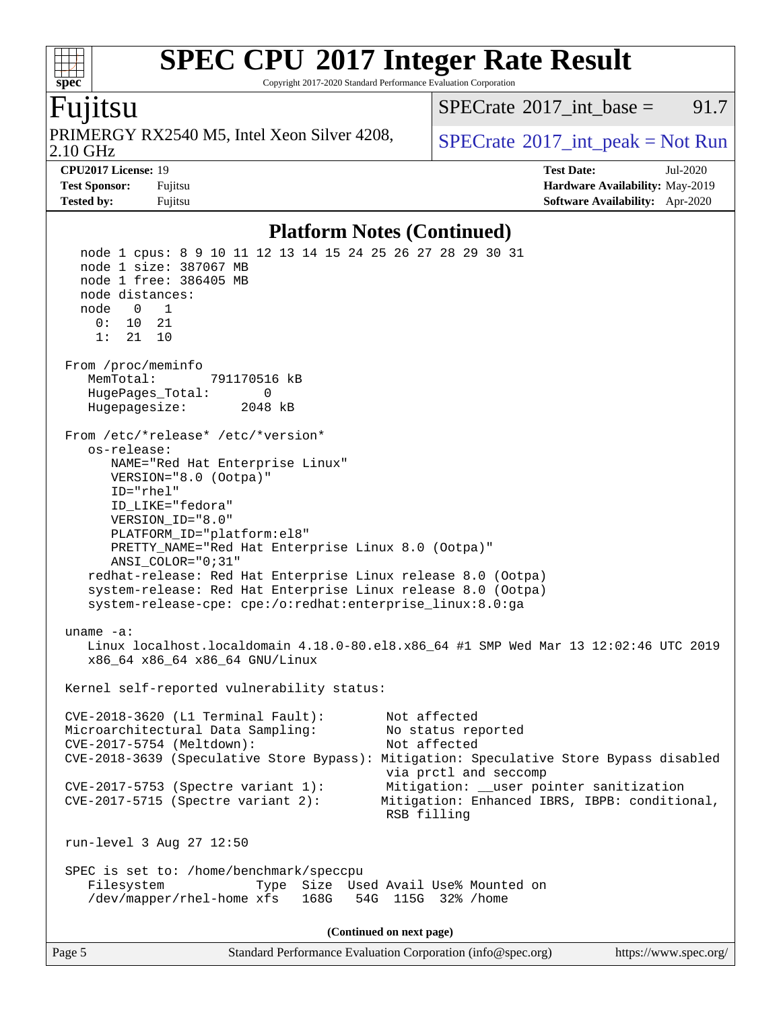Copyright 2017-2020 Standard Performance Evaluation Corporation

### Fujitsu

**[spec](http://www.spec.org/)**

2.10 GHz PRIMERGY RX2540 M5, Intel Xeon Silver 4208,  $\big|$  [SPECrate](http://www.spec.org/auto/cpu2017/Docs/result-fields.html#SPECrate2017intpeak) <sup>®</sup>[2017\\_int\\_peak = N](http://www.spec.org/auto/cpu2017/Docs/result-fields.html#SPECrate2017intpeak)ot Run

[SPECrate](http://www.spec.org/auto/cpu2017/Docs/result-fields.html#SPECrate2017intbase)<sup>®</sup>2017 int\_base = 91.7

**[CPU2017 License:](http://www.spec.org/auto/cpu2017/Docs/result-fields.html#CPU2017License)** 19 **[Test Date:](http://www.spec.org/auto/cpu2017/Docs/result-fields.html#TestDate)** Jul-2020 **[Test Sponsor:](http://www.spec.org/auto/cpu2017/Docs/result-fields.html#TestSponsor)** Fujitsu **[Hardware Availability:](http://www.spec.org/auto/cpu2017/Docs/result-fields.html#HardwareAvailability)** May-2019 **[Tested by:](http://www.spec.org/auto/cpu2017/Docs/result-fields.html#Testedby)** Fujitsu **[Software Availability:](http://www.spec.org/auto/cpu2017/Docs/result-fields.html#SoftwareAvailability)** Apr-2020

### **[Platform Notes \(Continued\)](http://www.spec.org/auto/cpu2017/Docs/result-fields.html#PlatformNotes)**

Page 5 Standard Performance Evaluation Corporation [\(info@spec.org\)](mailto:info@spec.org) <https://www.spec.org/> node 1 cpus: 8 9 10 11 12 13 14 15 24 25 26 27 28 29 30 31 node 1 size: 387067 MB node 1 free: 386405 MB node distances: node 0 1 0: 10 21 1: 21 10 From /proc/meminfo MemTotal: 791170516 kB HugePages\_Total: 0 Hugepagesize: 2048 kB From /etc/\*release\* /etc/\*version\* os-release: NAME="Red Hat Enterprise Linux" VERSION="8.0 (Ootpa)" ID="rhel" ID\_LIKE="fedora" VERSION\_ID="8.0" PLATFORM\_ID="platform:el8" PRETTY\_NAME="Red Hat Enterprise Linux 8.0 (Ootpa)" ANSI\_COLOR="0;31" redhat-release: Red Hat Enterprise Linux release 8.0 (Ootpa) system-release: Red Hat Enterprise Linux release 8.0 (Ootpa) system-release-cpe: cpe:/o:redhat:enterprise\_linux:8.0:ga uname -a: Linux localhost.localdomain 4.18.0-80.el8.x86\_64 #1 SMP Wed Mar 13 12:02:46 UTC 2019 x86\_64 x86\_64 x86\_64 GNU/Linux Kernel self-reported vulnerability status: CVE-2018-3620 (L1 Terminal Fault): Not affected Microarchitectural Data Sampling: No status reported CVE-2017-5754 (Meltdown): Not affected CVE-2018-3639 (Speculative Store Bypass): Mitigation: Speculative Store Bypass disabled via prctl and seccomp CVE-2017-5753 (Spectre variant 1): Mitigation: \_\_user pointer sanitization CVE-2017-5715 (Spectre variant 2): Mitigation: Enhanced IBRS, IBPB: conditional, RSB filling run-level 3 Aug 27 12:50 SPEC is set to: /home/benchmark/speccpu Filesystem Type Size Used Avail Use% Mounted on /dev/mapper/rhel-home xfs 168G 54G 115G 32% /home **(Continued on next page)**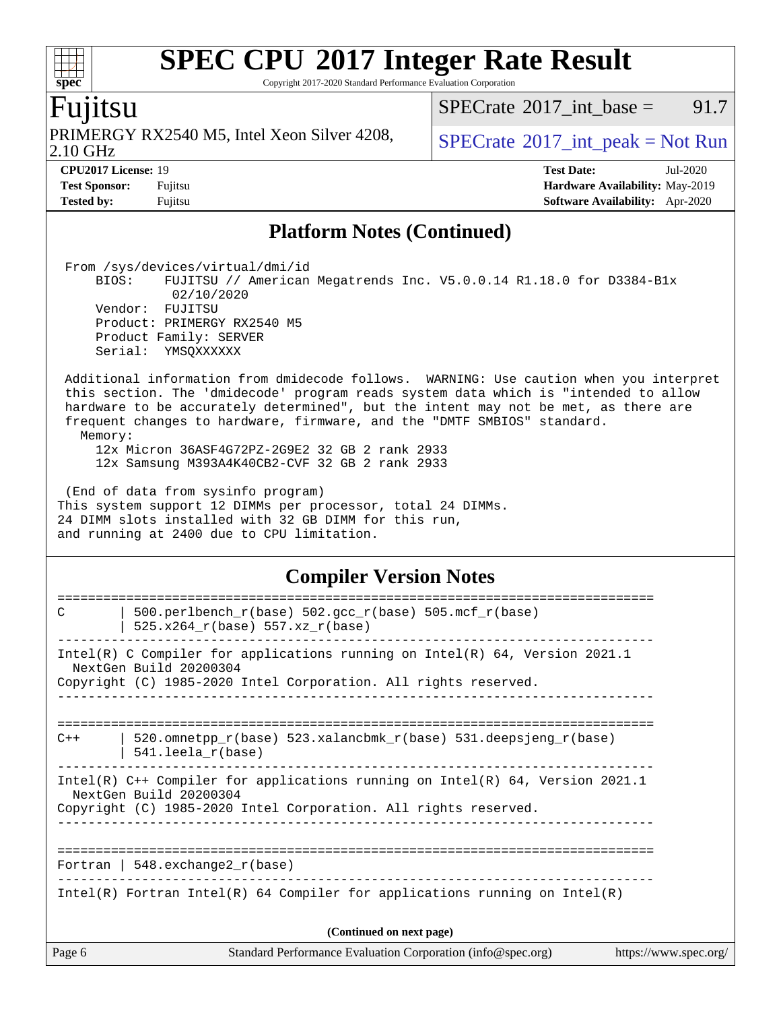Copyright 2017-2020 Standard Performance Evaluation Corporation

### Fujitsu

**[spec](http://www.spec.org/)**

2.10 GHz PRIMERGY RX2540 M5, Intel Xeon Silver 4208,  $\big|$  [SPECrate](http://www.spec.org/auto/cpu2017/Docs/result-fields.html#SPECrate2017intpeak) <sup>®</sup>[2017\\_int\\_peak = N](http://www.spec.org/auto/cpu2017/Docs/result-fields.html#SPECrate2017intpeak)ot Run

 $SPECTate$ <sup>®</sup>[2017\\_int\\_base =](http://www.spec.org/auto/cpu2017/Docs/result-fields.html#SPECrate2017intbase) 91.7

**[CPU2017 License:](http://www.spec.org/auto/cpu2017/Docs/result-fields.html#CPU2017License)** 19 **[Test Date:](http://www.spec.org/auto/cpu2017/Docs/result-fields.html#TestDate)** Jul-2020 **[Test Sponsor:](http://www.spec.org/auto/cpu2017/Docs/result-fields.html#TestSponsor)** Fujitsu **[Hardware Availability:](http://www.spec.org/auto/cpu2017/Docs/result-fields.html#HardwareAvailability)** May-2019 **[Tested by:](http://www.spec.org/auto/cpu2017/Docs/result-fields.html#Testedby)** Fujitsu **[Software Availability:](http://www.spec.org/auto/cpu2017/Docs/result-fields.html#SoftwareAvailability)** Apr-2020

### **[Platform Notes \(Continued\)](http://www.spec.org/auto/cpu2017/Docs/result-fields.html#PlatformNotes)**

From /sys/devices/virtual/dmi/id

 BIOS: FUJITSU // American Megatrends Inc. V5.0.0.14 R1.18.0 for D3384-B1x 02/10/2020 Vendor: FUJITSU Product: PRIMERGY RX2540 M5 Product Family: SERVER Serial: YMSQXXXXXX Additional information from dmidecode follows. WARNING: Use caution when you interpret

 this section. The 'dmidecode' program reads system data which is "intended to allow hardware to be accurately determined", but the intent may not be met, as there are frequent changes to hardware, firmware, and the "DMTF SMBIOS" standard. Memory:

 12x Micron 36ASF4G72PZ-2G9E2 32 GB 2 rank 2933 12x Samsung M393A4K40CB2-CVF 32 GB 2 rank 2933

 (End of data from sysinfo program) This system support 12 DIMMs per processor, total 24 DIMMs. 24 DIMM slots installed with 32 GB DIMM for this run, and running at 2400 due to CPU limitation.

### **[Compiler Version Notes](http://www.spec.org/auto/cpu2017/Docs/result-fields.html#CompilerVersionNotes)**

| C                        | 500.perlbench $r(base)$ 502.qcc $r(base)$ 505.mcf $r(base)$                                               |                       |  |  |
|--------------------------|-----------------------------------------------------------------------------------------------------------|-----------------------|--|--|
|                          | $525.x264_r(base) 557.xz_r(base)$                                                                         |                       |  |  |
|                          | Intel(R) C Compiler for applications running on Intel(R) $64$ , Version 2021.1<br>NextGen Build 20200304  |                       |  |  |
|                          | Copyright (C) 1985-2020 Intel Corporation. All rights reserved.                                           |                       |  |  |
|                          |                                                                                                           |                       |  |  |
| $C++$                    | 520.omnetpp $r(base)$ 523.xalancbmk $r(base)$ 531.deepsjeng $r(base)$<br>$541.$ leela $r(base)$           |                       |  |  |
|                          | Intel(R) $C++$ Compiler for applications running on Intel(R) 64, Version 2021.1<br>NextGen Build 20200304 |                       |  |  |
|                          | Copyright (C) 1985-2020 Intel Corporation. All rights reserved.                                           |                       |  |  |
|                          | Fortran   $548$ . exchange $2r$ (base)                                                                    |                       |  |  |
|                          | Intel(R) Fortran Intel(R) 64 Compiler for applications running on Intel(R)                                |                       |  |  |
| (Continued on next page) |                                                                                                           |                       |  |  |
| Page 6                   | Standard Performance Evaluation Corporation (info@spec.org)                                               | https://www.spec.org/ |  |  |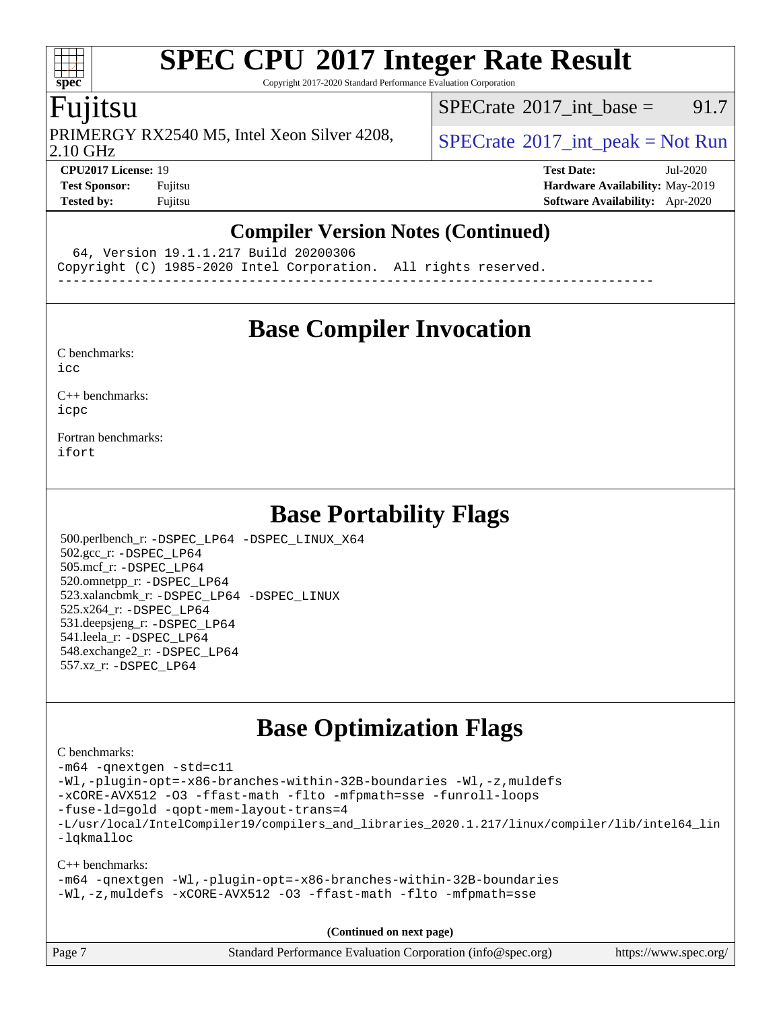Copyright 2017-2020 Standard Performance Evaluation Corporation

### Fujitsu

2.10 GHz PRIMERGY RX2540 M5, Intel Xeon Silver 4208,  $\big|$  [SPECrate](http://www.spec.org/auto/cpu2017/Docs/result-fields.html#SPECrate2017intpeak) <sup>®</sup>[2017\\_int\\_peak = N](http://www.spec.org/auto/cpu2017/Docs/result-fields.html#SPECrate2017intpeak)ot Run

[SPECrate](http://www.spec.org/auto/cpu2017/Docs/result-fields.html#SPECrate2017intbase)<sup>®</sup>2017 int base = 91.7

**[Tested by:](http://www.spec.org/auto/cpu2017/Docs/result-fields.html#Testedby)** Fujitsu **[Software Availability:](http://www.spec.org/auto/cpu2017/Docs/result-fields.html#SoftwareAvailability)** Apr-2020

**[CPU2017 License:](http://www.spec.org/auto/cpu2017/Docs/result-fields.html#CPU2017License)** 19 **[Test Date:](http://www.spec.org/auto/cpu2017/Docs/result-fields.html#TestDate)** Jul-2020 **[Test Sponsor:](http://www.spec.org/auto/cpu2017/Docs/result-fields.html#TestSponsor)** Fujitsu **[Hardware Availability:](http://www.spec.org/auto/cpu2017/Docs/result-fields.html#HardwareAvailability)** May-2019

### **[Compiler Version Notes \(Continued\)](http://www.spec.org/auto/cpu2017/Docs/result-fields.html#CompilerVersionNotes)**

64, Version 19.1.1.217 Build 20200306

Copyright (C) 1985-2020 Intel Corporation. All rights reserved.

------------------------------------------------------------------------------

## **[Base Compiler Invocation](http://www.spec.org/auto/cpu2017/Docs/result-fields.html#BaseCompilerInvocation)**

[C benchmarks](http://www.spec.org/auto/cpu2017/Docs/result-fields.html#Cbenchmarks):

[icc](http://www.spec.org/cpu2017/results/res2020q3/cpu2017-20200831-23829.flags.html#user_CCbase_intel_icc_66fc1ee009f7361af1fbd72ca7dcefbb700085f36577c54f309893dd4ec40d12360134090235512931783d35fd58c0460139e722d5067c5574d8eaf2b3e37e92)

[C++ benchmarks:](http://www.spec.org/auto/cpu2017/Docs/result-fields.html#CXXbenchmarks) [icpc](http://www.spec.org/cpu2017/results/res2020q3/cpu2017-20200831-23829.flags.html#user_CXXbase_intel_icpc_c510b6838c7f56d33e37e94d029a35b4a7bccf4766a728ee175e80a419847e808290a9b78be685c44ab727ea267ec2f070ec5dc83b407c0218cded6866a35d07)

[Fortran benchmarks](http://www.spec.org/auto/cpu2017/Docs/result-fields.html#Fortranbenchmarks): [ifort](http://www.spec.org/cpu2017/results/res2020q3/cpu2017-20200831-23829.flags.html#user_FCbase_intel_ifort_8111460550e3ca792625aed983ce982f94888b8b503583aa7ba2b8303487b4d8a21a13e7191a45c5fd58ff318f48f9492884d4413fa793fd88dd292cad7027ca)

## **[Base Portability Flags](http://www.spec.org/auto/cpu2017/Docs/result-fields.html#BasePortabilityFlags)**

 500.perlbench\_r: [-DSPEC\\_LP64](http://www.spec.org/cpu2017/results/res2020q3/cpu2017-20200831-23829.flags.html#b500.perlbench_r_basePORTABILITY_DSPEC_LP64) [-DSPEC\\_LINUX\\_X64](http://www.spec.org/cpu2017/results/res2020q3/cpu2017-20200831-23829.flags.html#b500.perlbench_r_baseCPORTABILITY_DSPEC_LINUX_X64) 502.gcc\_r: [-DSPEC\\_LP64](http://www.spec.org/cpu2017/results/res2020q3/cpu2017-20200831-23829.flags.html#suite_basePORTABILITY502_gcc_r_DSPEC_LP64) 505.mcf\_r: [-DSPEC\\_LP64](http://www.spec.org/cpu2017/results/res2020q3/cpu2017-20200831-23829.flags.html#suite_basePORTABILITY505_mcf_r_DSPEC_LP64) 520.omnetpp\_r: [-DSPEC\\_LP64](http://www.spec.org/cpu2017/results/res2020q3/cpu2017-20200831-23829.flags.html#suite_basePORTABILITY520_omnetpp_r_DSPEC_LP64) 523.xalancbmk\_r: [-DSPEC\\_LP64](http://www.spec.org/cpu2017/results/res2020q3/cpu2017-20200831-23829.flags.html#suite_basePORTABILITY523_xalancbmk_r_DSPEC_LP64) [-DSPEC\\_LINUX](http://www.spec.org/cpu2017/results/res2020q3/cpu2017-20200831-23829.flags.html#b523.xalancbmk_r_baseCXXPORTABILITY_DSPEC_LINUX) 525.x264\_r: [-DSPEC\\_LP64](http://www.spec.org/cpu2017/results/res2020q3/cpu2017-20200831-23829.flags.html#suite_basePORTABILITY525_x264_r_DSPEC_LP64) 531.deepsjeng\_r: [-DSPEC\\_LP64](http://www.spec.org/cpu2017/results/res2020q3/cpu2017-20200831-23829.flags.html#suite_basePORTABILITY531_deepsjeng_r_DSPEC_LP64) 541.leela\_r: [-DSPEC\\_LP64](http://www.spec.org/cpu2017/results/res2020q3/cpu2017-20200831-23829.flags.html#suite_basePORTABILITY541_leela_r_DSPEC_LP64) 548.exchange2\_r: [-DSPEC\\_LP64](http://www.spec.org/cpu2017/results/res2020q3/cpu2017-20200831-23829.flags.html#suite_basePORTABILITY548_exchange2_r_DSPEC_LP64) 557.xz\_r: [-DSPEC\\_LP64](http://www.spec.org/cpu2017/results/res2020q3/cpu2017-20200831-23829.flags.html#suite_basePORTABILITY557_xz_r_DSPEC_LP64)

## **[Base Optimization Flags](http://www.spec.org/auto/cpu2017/Docs/result-fields.html#BaseOptimizationFlags)**

[C benchmarks](http://www.spec.org/auto/cpu2017/Docs/result-fields.html#Cbenchmarks):

[-m64](http://www.spec.org/cpu2017/results/res2020q3/cpu2017-20200831-23829.flags.html#user_CCbase_m64-icc) [-qnextgen](http://www.spec.org/cpu2017/results/res2020q3/cpu2017-20200831-23829.flags.html#user_CCbase_f-qnextgen) [-std=c11](http://www.spec.org/cpu2017/results/res2020q3/cpu2017-20200831-23829.flags.html#user_CCbase_std-icc-std_0e1c27790398a4642dfca32ffe6c27b5796f9c2d2676156f2e42c9c44eaad0c049b1cdb667a270c34d979996257aeb8fc440bfb01818dbc9357bd9d174cb8524) [-Wl,-plugin-opt=-x86-branches-within-32B-boundaries](http://www.spec.org/cpu2017/results/res2020q3/cpu2017-20200831-23829.flags.html#user_CCbase_f-x86-branches-within-32B-boundaries_0098b4e4317ae60947b7b728078a624952a08ac37a3c797dfb4ffeb399e0c61a9dd0f2f44ce917e9361fb9076ccb15e7824594512dd315205382d84209e912f3) [-Wl,-z,muldefs](http://www.spec.org/cpu2017/results/res2020q3/cpu2017-20200831-23829.flags.html#user_CCbase_link_force_multiple1_b4cbdb97b34bdee9ceefcfe54f4c8ea74255f0b02a4b23e853cdb0e18eb4525ac79b5a88067c842dd0ee6996c24547a27a4b99331201badda8798ef8a743f577) [-xCORE-AVX512](http://www.spec.org/cpu2017/results/res2020q3/cpu2017-20200831-23829.flags.html#user_CCbase_f-xCORE-AVX512) [-O3](http://www.spec.org/cpu2017/results/res2020q3/cpu2017-20200831-23829.flags.html#user_CCbase_f-O3) [-ffast-math](http://www.spec.org/cpu2017/results/res2020q3/cpu2017-20200831-23829.flags.html#user_CCbase_f-ffast-math) [-flto](http://www.spec.org/cpu2017/results/res2020q3/cpu2017-20200831-23829.flags.html#user_CCbase_f-flto) [-mfpmath=sse](http://www.spec.org/cpu2017/results/res2020q3/cpu2017-20200831-23829.flags.html#user_CCbase_f-mfpmath_70eb8fac26bde974f8ab713bc9086c5621c0b8d2f6c86f38af0bd7062540daf19db5f3a066d8c6684be05d84c9b6322eb3b5be6619d967835195b93d6c02afa1) [-funroll-loops](http://www.spec.org/cpu2017/results/res2020q3/cpu2017-20200831-23829.flags.html#user_CCbase_f-funroll-loops) [-fuse-ld=gold](http://www.spec.org/cpu2017/results/res2020q3/cpu2017-20200831-23829.flags.html#user_CCbase_f-fuse-ld_920b3586e2b8c6e0748b9c84fa9b744736ba725a32cab14ad8f3d4ad28eecb2f59d1144823d2e17006539a88734fe1fc08fc3035f7676166309105a78aaabc32) [-qopt-mem-layout-trans=4](http://www.spec.org/cpu2017/results/res2020q3/cpu2017-20200831-23829.flags.html#user_CCbase_f-qopt-mem-layout-trans_fa39e755916c150a61361b7846f310bcdf6f04e385ef281cadf3647acec3f0ae266d1a1d22d972a7087a248fd4e6ca390a3634700869573d231a252c784941a8) [-L/usr/local/IntelCompiler19/compilers\\_and\\_libraries\\_2020.1.217/linux/compiler/lib/intel64\\_lin](http://www.spec.org/cpu2017/results/res2020q3/cpu2017-20200831-23829.flags.html#user_CCbase_linkpath_2cb6f503891ebf8baee7515f4e7d4ec1217444d1d05903cc0091ac4158de400651d2b2313a9fa414cb8a8f0e16ab029634f5c6db340f400369c190d4db8a54a0) [-lqkmalloc](http://www.spec.org/cpu2017/results/res2020q3/cpu2017-20200831-23829.flags.html#user_CCbase_qkmalloc_link_lib_79a818439969f771c6bc311cfd333c00fc099dad35c030f5aab9dda831713d2015205805422f83de8875488a2991c0a156aaa600e1f9138f8fc37004abc96dc5) [C++ benchmarks](http://www.spec.org/auto/cpu2017/Docs/result-fields.html#CXXbenchmarks):

### [-m64](http://www.spec.org/cpu2017/results/res2020q3/cpu2017-20200831-23829.flags.html#user_CXXbase_m64-icc) [-qnextgen](http://www.spec.org/cpu2017/results/res2020q3/cpu2017-20200831-23829.flags.html#user_CXXbase_f-qnextgen) [-Wl,-plugin-opt=-x86-branches-within-32B-boundaries](http://www.spec.org/cpu2017/results/res2020q3/cpu2017-20200831-23829.flags.html#user_CXXbase_f-x86-branches-within-32B-boundaries_0098b4e4317ae60947b7b728078a624952a08ac37a3c797dfb4ffeb399e0c61a9dd0f2f44ce917e9361fb9076ccb15e7824594512dd315205382d84209e912f3) [-Wl,-z,muldefs](http://www.spec.org/cpu2017/results/res2020q3/cpu2017-20200831-23829.flags.html#user_CXXbase_link_force_multiple1_b4cbdb97b34bdee9ceefcfe54f4c8ea74255f0b02a4b23e853cdb0e18eb4525ac79b5a88067c842dd0ee6996c24547a27a4b99331201badda8798ef8a743f577) [-xCORE-AVX512](http://www.spec.org/cpu2017/results/res2020q3/cpu2017-20200831-23829.flags.html#user_CXXbase_f-xCORE-AVX512) [-O3](http://www.spec.org/cpu2017/results/res2020q3/cpu2017-20200831-23829.flags.html#user_CXXbase_f-O3) [-ffast-math](http://www.spec.org/cpu2017/results/res2020q3/cpu2017-20200831-23829.flags.html#user_CXXbase_f-ffast-math) [-flto](http://www.spec.org/cpu2017/results/res2020q3/cpu2017-20200831-23829.flags.html#user_CXXbase_f-flto) [-mfpmath=sse](http://www.spec.org/cpu2017/results/res2020q3/cpu2017-20200831-23829.flags.html#user_CXXbase_f-mfpmath_70eb8fac26bde974f8ab713bc9086c5621c0b8d2f6c86f38af0bd7062540daf19db5f3a066d8c6684be05d84c9b6322eb3b5be6619d967835195b93d6c02afa1)

**(Continued on next page)**

| Page 7 | Standard Performance Evaluation Corporation (info@spec.org) | https://www.spec.org/ |
|--------|-------------------------------------------------------------|-----------------------|
|        |                                                             |                       |

 $+\ +$ **[spec](http://www.spec.org/)**